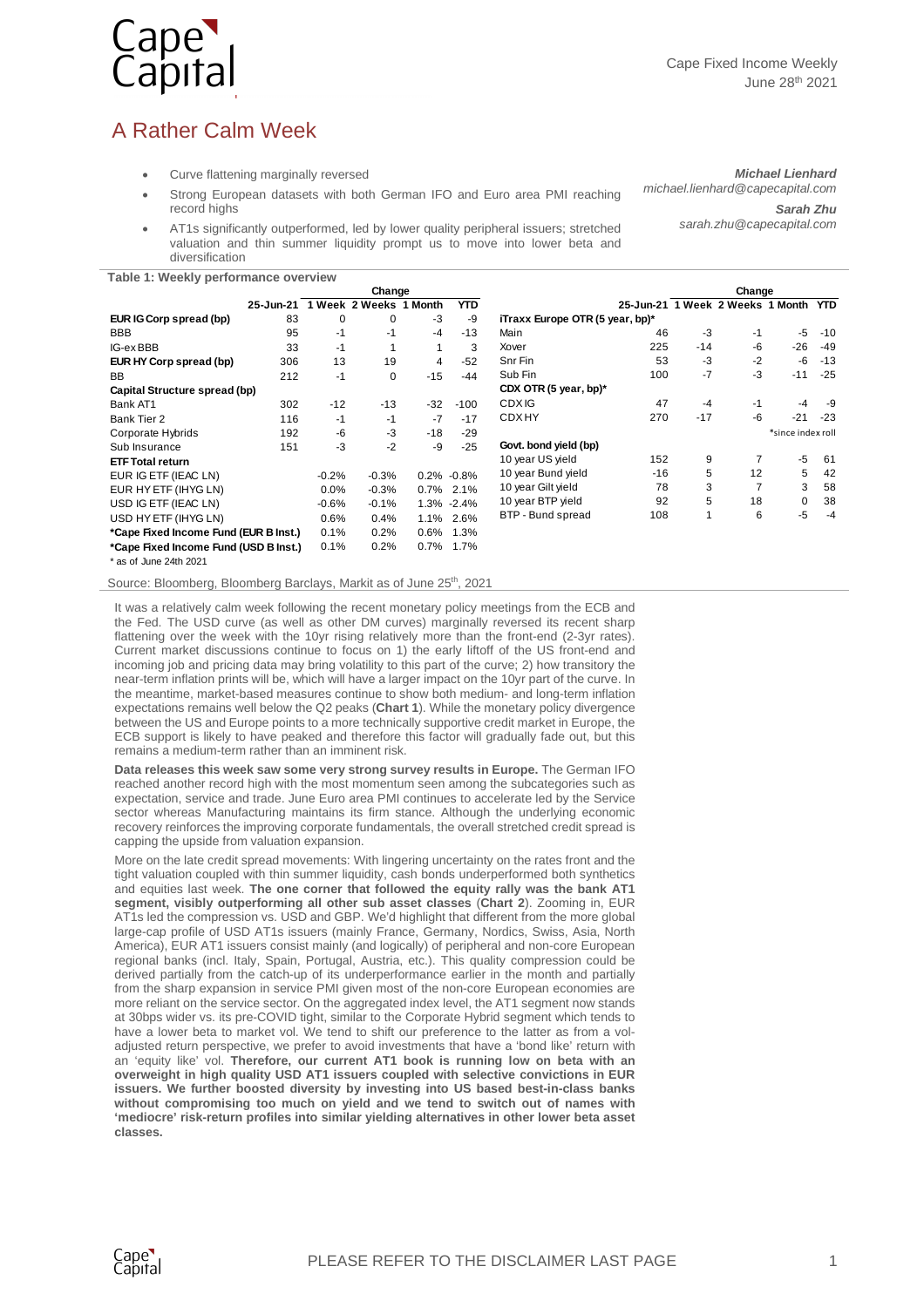

## A Rather Calm Week

- Curve flattening marginally reversed
- Strong European datasets with both German IFO and Euro area PMI reaching record highs
- AT1s significantly outperformed, led by lower quality peripheral issuers; stretched valuation and thin summer liquidity prompt us to move into lower beta and diversification

*Michael Lienhard michael.lienhard@capecapital.com*

*Sarah Zhu*

*sarah.zhu@capecapital.com* 

**Table 1: Weekly performance overview**

| Table 1. WebNly performance overview  |           |          |                |         |                |                                 |                                      |        |      |                   |       |
|---------------------------------------|-----------|----------|----------------|---------|----------------|---------------------------------|--------------------------------------|--------|------|-------------------|-------|
|                                       |           | Change   |                |         |                |                                 |                                      | Change |      |                   |       |
|                                       | 25-Jun-21 |          | 1 Week 2 Weeks | 1 Month | <b>YTD</b>     |                                 | 25-Jun-21 1 Week 2 Weeks 1 Month YTD |        |      |                   |       |
| EUR IG Corp spread (bp)               | 83        | $\Omega$ | $\Omega$       | -3      | -9             | iTraxx Europe OTR (5 year, bp)* |                                      |        |      |                   |       |
| BBB                                   | 95        | -1       | -1             | $-4$    | $-13$          | Main                            | 46                                   | $-3$   | -1   | -5                | $-10$ |
| IG-ex BBB                             | 33        | -1       |                |         | 3              | Xover                           | 225                                  | $-14$  | -6   | $-26$             | -49   |
| EUR HY Corp spread (bp)               | 306       | 13       | 19             | 4       | $-52$          | Snr Fin                         | 53                                   | $-3$   | $-2$ | -6                | $-13$ |
| BB                                    | 212       | -1       | 0              | $-15$   | $-44$          | Sub Fin                         | 100                                  | $-7$   | $-3$ | $-11$             | $-25$ |
| Capital Structure spread (bp)         |           |          |                |         |                | CDX OTR (5 year, bp)*           |                                      |        |      |                   |       |
| Bank AT1                              | 302       | $-12$    | $-13$          | $-32$   | $-100$         | <b>CDXIG</b>                    | 47                                   | $-4$   | $-1$ | $-4$              | -9    |
| Bank Tier 2                           | 116       | -1       | -1             | -7      | $-17$          | <b>CDXHY</b>                    | 270                                  | $-17$  | $-6$ | $-21$             | $-23$ |
| Corporate Hybrids                     | 192       | -6       | -3             | $-18$   | $-29$          |                                 |                                      |        |      | *since index roll |       |
| Sub Insurance                         | 151       | $-3$     | $-2$           | -9      | $-25$          | Govt. bond yield (bp)           |                                      |        |      |                   |       |
| <b>ETF Total return</b>               |           |          |                |         |                | 10 year US yield                | 152                                  | 9      | 7    | -5                | 61    |
| EUR IG ETF (IEAC LN)                  |           | $-0.2%$  | $-0.3%$        |         | $0.2\% -0.8\%$ | 10 year Bund yield              | $-16$                                | 5      | 12   | 5                 | 42    |
| EUR HY ETF (IHYG LN)                  |           | 0.0%     | $-0.3%$        |         | $0.7\%$ 2.1%   | 10 year Gilt yield              | 78                                   | 3      | 7    | 3                 | 58    |
| USD IG ETF (IEAC LN)                  |           | $-0.6\%$ | $-0.1%$        |         | 1.3% -2.4%     | 10 year BTP yield               | 92                                   | 5      | 18   | 0                 | 38    |
| USD HY ETF (IHYG LN)                  |           | 0.6%     | 0.4%           | 1.1%    | 2.6%           | BTP - Bund spread               | 108                                  |        | 6    | -5                | $-4$  |
| *Cape Fixed Income Fund (EUR B Inst.) |           | 0.1%     | 0.2%           | 0.6%    | 1.3%           |                                 |                                      |        |      |                   |       |
| *Cape Fixed Income Fund (USD B Inst.) |           | 0.1%     | 0.2%           | 0.7%    | 1.7%           |                                 |                                      |        |      |                   |       |
| * as of June 24th 2021                |           |          |                |         |                |                                 |                                      |        |      |                   |       |

Source: Bloomberg, Bloomberg Barclays, Markit as of June 25<sup>th</sup>, 2021

It was a relatively calm week following the recent monetary policy meetings from the ECB and the Fed. The USD curve (as well as other DM curves) marginally reversed its recent sharp flattening over the week with the 10yr rising relatively more than the front-end (2-3yr rates). Current market discussions continue to focus on 1) the early liftoff of the US front-end and incoming job and pricing data may bring volatility to this part of the curve; 2) how transitory the near-term inflation prints will be, which will have a larger impact on the 10yr part of the curve. In the meantime, market-based measures continue to show both medium- and long-term inflation expectations remains well below the Q2 peaks (**Chart 1**). While the monetary policy divergence between the US and Europe points to a more technically supportive credit market in Europe, the ECB support is likely to have peaked and therefore this factor will gradually fade out, but this remains a medium-term rather than an imminent risk.

**Data releases this week saw some very strong survey results in Europe.** The German IFO reached another record high with the most momentum seen among the subcategories such as expectation, service and trade. June Euro area PMI continues to accelerate led by the Service sector whereas Manufacturing maintains its firm stance. Although the underlying economic recovery reinforces the improving corporate fundamentals, the overall stretched credit spread is capping the upside from valuation expansion.

More on the late credit spread movements: With lingering uncertainty on the rates front and the tight valuation coupled with thin summer liquidity, cash bonds underperformed both synthetics and equities last week. **The one corner that followed the equity rally was the bank AT1 segment, visibly outperforming all other sub asset classes** (**Chart 2**). Zooming in, EUR AT1s led the compression vs. USD and GBP. We'd highlight that different from the more global large-cap profile of USD AT1s issuers (mainly France, Germany, Nordics, Swiss, Asia, North America), EUR AT1 issuers consist mainly (and logically) of peripheral and non-core European regional banks (incl. Italy, Spain, Portugal, Austria, etc.). This quality compression could be derived partially from the catch-up of its underperformance earlier in the month and partially from the sharp expansion in service PMI given most of the non-core European economies are more reliant on the service sector. On the aggregated index level, the AT1 segment now stands at 30bps wider vs. its pre-COVID tight, similar to the Corporate Hybrid segment which tends to have a lower beta to market vol. We tend to shift our preference to the latter as from a voladjusted return perspective, we prefer to avoid investments that have a 'bond like' return with an 'equity like' vol. **Therefore, our current AT1 book is running low on beta with an overweight in high quality USD AT1 issuers coupled with selective convictions in EUR issuers. We further boosted diversity by investing into US based best-in-class banks without compromising too much on yield and we tend to switch out of names with 'mediocre' risk-return profiles into similar yielding alternatives in other lower beta asset classes.**

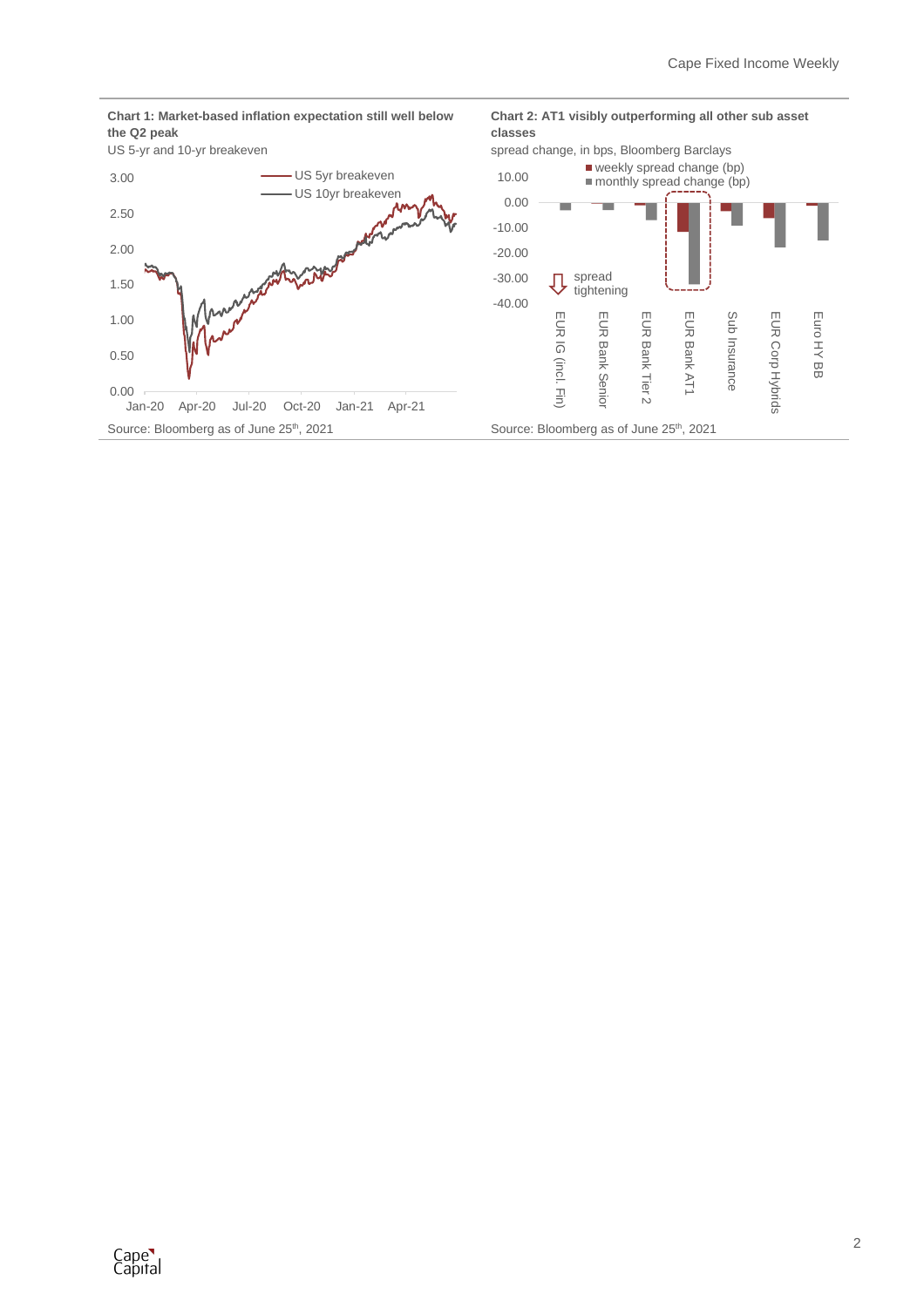